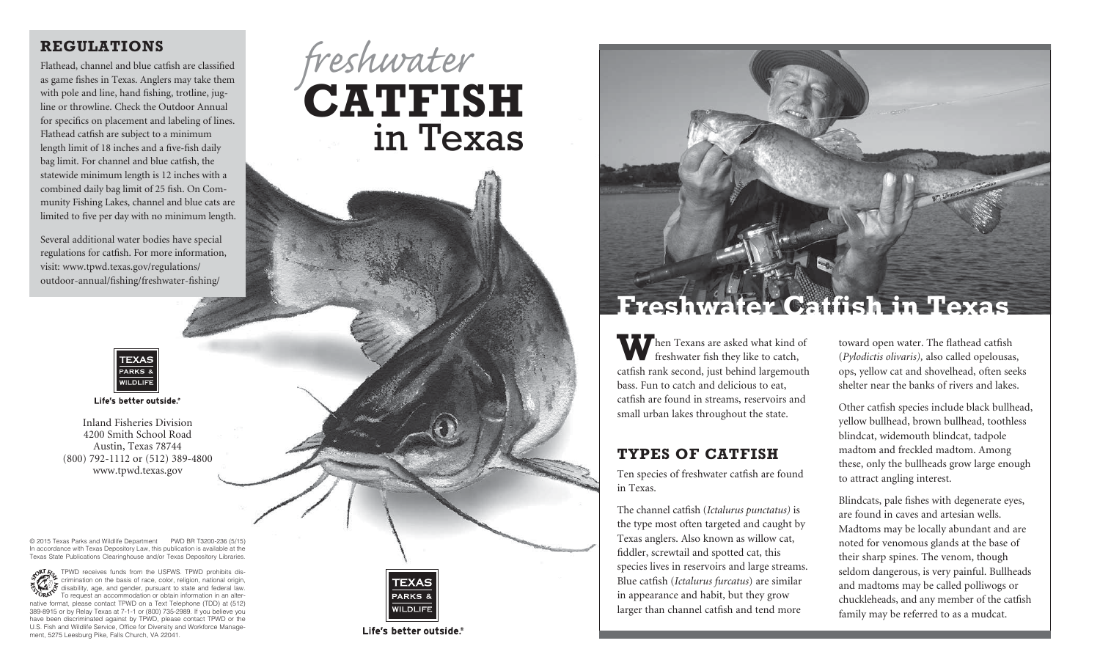## **Regulations**

Flathead, channel and blue catfish are classified as game fishes in Texas. Anglers may take them with pole and line, hand fishing, trotline, jugline or throwline. Check the Outdoor Annual for specifics on placement and labeling of lines. Flathead catfish are subject to a minimum length limit of 18 inches and a five-fish daily bag limit. For channel and blue catfish, the statewide minimum length is 12 inches with a combined daily bag limit of 25 fish. On Community Fishing Lakes, channel and blue cats are limited to five per day with no minimum length.

Several additional water bodies have special regulations for catfish. For more information, visit: [www.tpwd.texas.gov/regulations/](http://www.tpwd.texas.gov/regulations/outdoor-annual/fishing/freshwater-fishing/) [outdoor-annual/fishing/freshwater-fishing/](http://www.tpwd.texas.gov/regulations/outdoor-annual/fishing/freshwater-fishing/) 



Life's better outside.®

Inland Fisheries Division 4200 Smith School Road Austin, Texas 78744 (800) 792-1112 or (512) 389-4800 www.tpwd.texas.gov

© 2015 Texas Parks and Wildlife Department PWD BR T3200-236 (5/15) In accordance with Texas Depository Law, this publication is available at the Texas State Publications Clearinghouse and/or Texas Depository Libraries.

TPWD receives funds from the USFWS. TPWD prohibits discrimination on the basis of race, color, religion, national origin, disability, age, and gender, pursuant to state and federal law. To request an accommodation or obtain information in an alternative format, please contact TPWD on a Text Telephone (TDD) at (512) 389-8915 or by Relay Texas at 7-1-1 or (800) 735-2989. If you believe you have been discriminated against by TPWD, please contact TPWD or the U.S. Fish and Wildlife Service, Office for Diversity and Workforce Management, 5275 Leesburg Pike, Falls Church, VA 22041.





Life's better outside.



# **Freshwater Catfish in Texas**

**W** hen Texans are asked what kind of freshwater fish they like to catch, catfish rank second, just behind largemouth bass. Fun to catch and delicious to eat, catfish are found in streams, reservoirs and small urban lakes throughout the state.

## **Types of catfish**

Ten species of freshwater catfish are found in Texas.

The channel catfish (*Ictalurus punctatus)* is the type most often targeted and caught by Texas anglers. Also known as willow cat, fiddler, screwtail and spotted cat, this species lives in reservoirs and large streams. Blue catfish (*Ictalurus furcatus*) are similar in appearance and habit, but they grow larger than channel catfish and tend more

toward open water. The flathead catfish (*Pylodictis olivaris),* also called opelousas, ops, yellow cat and shovelhead, often seeks shelter near the banks of rivers and lakes.

Other catfish species include black bullhead, yellow bullhead, brown bullhead, toothless blindcat, widemouth blindcat, tadpole madtom and freckled madtom. Among these, only the bullheads grow large enough to attract angling interest.

Blindcats, pale fishes with degenerate eyes, are found in caves and artesian wells. Madtoms may be locally abundant and are noted for venomous glands at the base of their sharp spines. The venom, though seldom dangerous, is very painful. Bullheads and madtoms may be called polliwogs or chuckleheads, and any member of the catfish family may be referred to as a mudcat.